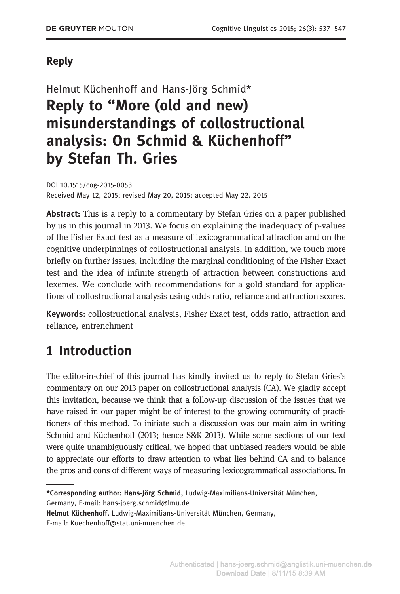## Reply

Helmut Küchenhoff and Hans-Jörg Schmid\* Reply to "More (old and new) misunderstandings of collostructional analysis: On Schmid & Küchenhoff" by Stefan Th. Gries

DOI 10.1515/cog-2015-0053 Received May 12, 2015; revised May 20, 2015; accepted May 22, 2015

Abstract: This is a reply to a commentary by Stefan Gries on a paper published by us in this journal in 2013. We focus on explaining the inadequacy of p-values of the Fisher Exact test as a measure of lexicogrammatical attraction and on the cognitive underpinnings of collostructional analysis. In addition, we touch more briefly on further issues, including the marginal conditioning of the Fisher Exact test and the idea of infinite strength of attraction between constructions and lexemes. We conclude with recommendations for a gold standard for applications of collostructional analysis using odds ratio, reliance and attraction scores.

Keywords: collostructional analysis, Fisher Exact test, odds ratio, attraction and reliance, entrenchment

# 1 Introduction

The editor-in-chief of this journal has kindly invited us to reply to Stefan Gries's commentary on our 2013 paper on collostructional analysis (CA). We gladly accept this invitation, because we think that a follow-up discussion of the issues that we have raised in our paper might be of interest to the growing community of practitioners of this method. To initiate such a discussion was our main aim in writing Schmid and Küchenhoff (2013; hence S&K 2013). While some sections of our text were quite unambiguously critical, we hoped that unbiased readers would be able to appreciate our efforts to draw attention to what lies behind CA and to balance the pros and cons of different ways of measuring lexicogrammatical associations. In

\*Corresponding author: Hans-Jörg Schmid, Ludwig-Maximilians-Universität München, Germany, E-mail: hans-joerg.schmid@lmu.de

Helmut Küchenhoff, Ludwig-Maximilians-Universität München, Germany,

E-mail: Kuechenhoff@stat.uni-muenchen.de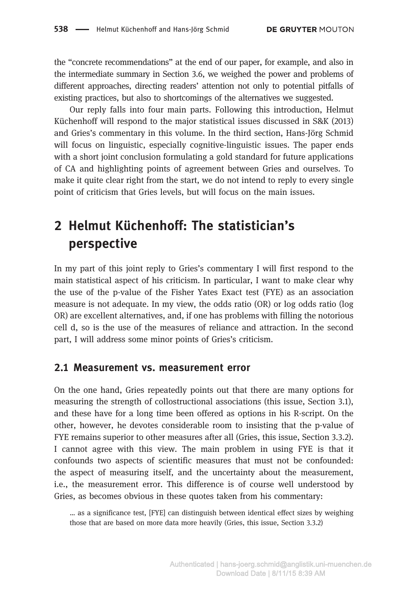the "concrete recommendations" at the end of our paper, for example, and also in the intermediate summary in Section 3.6, we weighed the power and problems of different approaches, directing readers' attention not only to potential pitfalls of existing practices, but also to shortcomings of the alternatives we suggested.

Our reply falls into four main parts. Following this introduction, Helmut Küchenhoff will respond to the major statistical issues discussed in S&K (2013) and Gries's commentary in this volume. In the third section, Hans-Jörg Schmid will focus on linguistic, especially cognitive-linguistic issues. The paper ends with a short joint conclusion formulating a gold standard for future applications of CA and highlighting points of agreement between Gries and ourselves. To make it quite clear right from the start, we do not intend to reply to every single point of criticism that Gries levels, but will focus on the main issues.

# 2 Helmut Küchenhoff: The statistician's perspective

In my part of this joint reply to Gries's commentary I will first respond to the main statistical aspect of his criticism. In particular, I want to make clear why the use of the p-value of the Fisher Yates Exact test (FYE) as an association measure is not adequate. In my view, the odds ratio (OR) or log odds ratio (log OR) are excellent alternatives, and, if one has problems with filling the notorious cell d, so is the use of the measures of reliance and attraction. In the second part, I will address some minor points of Gries's criticism.

### 2.1 Measurement vs. measurement error

On the one hand, Gries repeatedly points out that there are many options for measuring the strength of collostructional associations (this issue, Section 3.1), and these have for a long time been offered as options in his R-script. On the other, however, he devotes considerable room to insisting that the p-value of FYE remains superior to other measures after all (Gries, this issue, Section 3.3.2). I cannot agree with this view. The main problem in using FYE is that it confounds two aspects of scientific measures that must not be confounded: the aspect of measuring itself, and the uncertainty about the measurement, i.e., the measurement error. This difference is of course well understood by Gries, as becomes obvious in these quotes taken from his commentary:

… as a significance test, [FYE] can distinguish between identical effect sizes by weighing those that are based on more data more heavily (Gries, this issue, Section 3.3.2)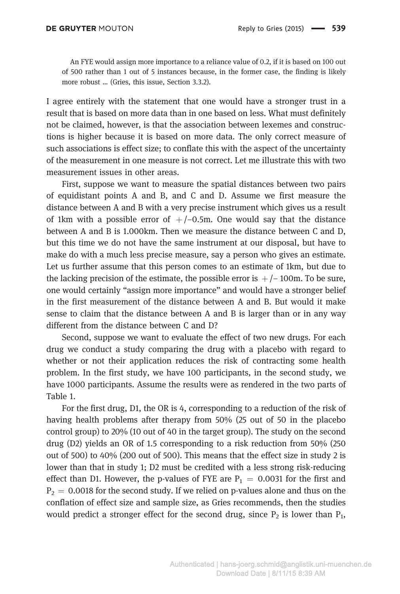An FYE would assign more importance to a reliance value of 0.2, if it is based on 100 out of 500 rather than 1 out of 5 instances because, in the former case, the finding is likely more robust … (Gries, this issue, Section 3.3.2).

I agree entirely with the statement that one would have a stronger trust in a result that is based on more data than in one based on less. What must definitely not be claimed, however, is that the association between lexemes and constructions is higher because it is based on more data. The only correct measure of such associations is effect size; to conflate this with the aspect of the uncertainty of the measurement in one measure is not correct. Let me illustrate this with two measurement issues in other areas.

First, suppose we want to measure the spatial distances between two pairs of equidistant points A and B, and C and D. Assume we first measure the distance between A and B with a very precise instrument which gives us a result of 1km with a possible error of  $+/-0.5$ m. One would say that the distance between A and B is 1.000km. Then we measure the distance between C and D, but this time we do not have the same instrument at our disposal, but have to make do with a much less precise measure, say a person who gives an estimate. Let us further assume that this person comes to an estimate of 1km, but due to the lacking precision of the estimate, the possible error is  $+/-100$ m. To be sure, one would certainly "assign more importance" and would have a stronger belief in the first measurement of the distance between A and B. But would it make sense to claim that the distance between A and B is larger than or in any way different from the distance between C and D?

Second, suppose we want to evaluate the effect of two new drugs. For each drug we conduct a study comparing the drug with a placebo with regard to whether or not their application reduces the risk of contracting some health problem. In the first study, we have 100 participants, in the second study, we have 1000 participants. Assume the results were as rendered in the two parts of Table 1.

For the first drug, D1, the OR is 4, corresponding to a reduction of the risk of having health problems after therapy from 50% (25 out of 50 in the placebo control group) to 20% (10 out of 40 in the target group). The study on the second drug (D2) yields an OR of 1.5 corresponding to a risk reduction from 50% (250 out of 500) to 40% (200 out of 500). This means that the effect size in study 2 is lower than that in study 1; D2 must be credited with a less strong risk-reducing effect than D1. However, the p-values of FYE are  $P_1 = 0.0031$  for the first and  $P_2 = 0.0018$  for the second study. If we relied on p-values alone and thus on the conflation of effect size and sample size, as Gries recommends, then the studies would predict a stronger effect for the second drug, since  $P_2$  is lower than  $P_1$ ,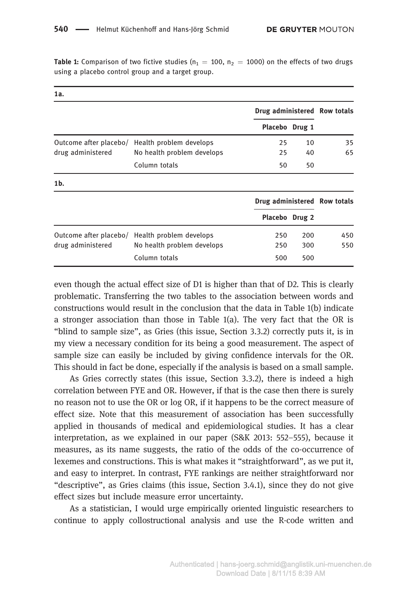a.

**Table 1:** Comparison of two fictive studies ( $n_1 = 100$ ,  $n_2 = 1000$ ) on the effects of two drugs using a placebo control group and a target group.

| ıa.                                         |                                                       |                              |            |            |
|---------------------------------------------|-------------------------------------------------------|------------------------------|------------|------------|
|                                             |                                                       | Drug administered Row totals |            |            |
|                                             |                                                       | Placebo Drug 1               |            |            |
| Outcome after placebo/<br>drug administered | Health problem develops<br>No health problem develops | 25<br>25                     | 10<br>40   | 35<br>65   |
|                                             | Column totals                                         | 50                           | 50         |            |
| $1b$ .                                      |                                                       |                              |            |            |
|                                             |                                                       | Drug administered Row totals |            |            |
|                                             |                                                       | Placebo Drug 2               |            |            |
| Outcome after placebo/<br>drug administered | Health problem develops<br>No health problem develops | 250<br>250                   | 200<br>300 | 450<br>550 |
|                                             | Column totals                                         | 500                          | 500        |            |

even though the actual effect size of D1 is higher than that of D2. This is clearly problematic. Transferring the two tables to the association between words and constructions would result in the conclusion that the data in Table 1(b) indicate a stronger association than those in Table  $1(a)$ . The very fact that the OR is "blind to sample size", as Gries (this issue, Section 3.3.2) correctly puts it, is in my view a necessary condition for its being a good measurement. The aspect of sample size can easily be included by giving confidence intervals for the OR. This should in fact be done, especially if the analysis is based on a small sample.

As Gries correctly states (this issue, Section 3.3.2), there is indeed a high correlation between FYE and OR. However, if that is the case then there is surely no reason not to use the OR or log OR, if it happens to be the correct measure of effect size. Note that this measurement of association has been successfully applied in thousands of medical and epidemiological studies. It has a clear interpretation, as we explained in our paper (S&K 2013: 552–555), because it measures, as its name suggests, the ratio of the odds of the co-occurrence of lexemes and constructions. This is what makes it "straightforward", as we put it, and easy to interpret. In contrast, FYE rankings are neither straightforward nor "descriptive", as Gries claims (this issue, Section 3.4.1), since they do not give effect sizes but include measure error uncertainty.

As a statistician, I would urge empirically oriented linguistic researchers to continue to apply collostructional analysis and use the R-code written and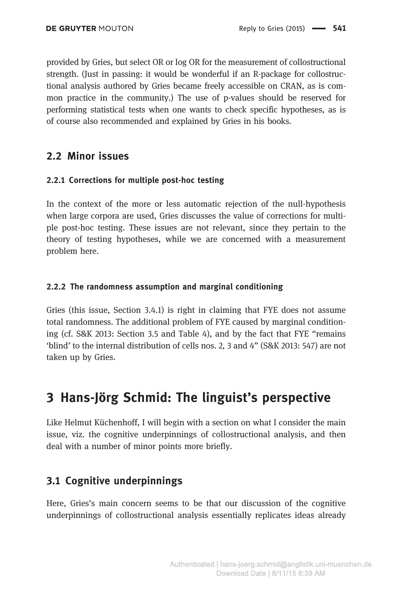provided by Gries, but select OR or log OR for the measurement of collostructional strength. (Just in passing: it would be wonderful if an R-package for collostructional analysis authored by Gries became freely accessible on CRAN, as is common practice in the community.) The use of p-values should be reserved for performing statistical tests when one wants to check specific hypotheses, as is of course also recommended and explained by Gries in his books.

### 2.2 Minor issues

### 2.2.1 Corrections for multiple post-hoc testing

In the context of the more or less automatic rejection of the null-hypothesis when large corpora are used, Gries discusses the value of corrections for multiple post-hoc testing. These issues are not relevant, since they pertain to the theory of testing hypotheses, while we are concerned with a measurement problem here.

### 2.2.2 The randomness assumption and marginal conditioning

Gries (this issue, Section 3.4.1) is right in claiming that FYE does not assume total randomness. The additional problem of FYE caused by marginal conditioning (cf. S&K 2013: Section 3.5 and Table 4), and by the fact that FYE "remains 'blind' to the internal distribution of cells nos. 2, 3 and 4" (S&K 2013: 547) are not taken up by Gries.

## 3 Hans-Jörg Schmid: The linguist's perspective

Like Helmut Küchenhoff, I will begin with a section on what I consider the main issue, viz. the cognitive underpinnings of collostructional analysis, and then deal with a number of minor points more briefly.

## 3.1 Cognitive underpinnings

Here, Gries's main concern seems to be that our discussion of the cognitive underpinnings of collostructional analysis essentially replicates ideas already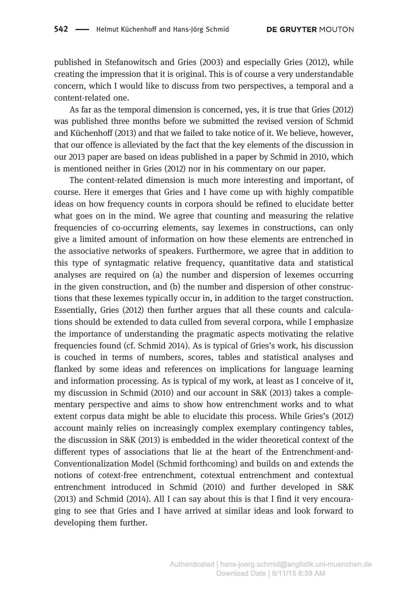published in Stefanowitsch and Gries (2003) and especially Gries (2012), while creating the impression that it is original. This is of course a very understandable concern, which I would like to discuss from two perspectives, a temporal and a content-related one.

As far as the temporal dimension is concerned, yes, it is true that Gries (2012) was published three months before we submitted the revised version of Schmid and Küchenhoff (2013) and that we failed to take notice of it. We believe, however, that our offence is alleviated by the fact that the key elements of the discussion in our 2013 paper are based on ideas published in a paper by Schmid in 2010, which is mentioned neither in Gries (2012) nor in his commentary on our paper.

The content-related dimension is much more interesting and important, of course. Here it emerges that Gries and I have come up with highly compatible ideas on how frequency counts in corpora should be refined to elucidate better what goes on in the mind. We agree that counting and measuring the relative frequencies of co-occurring elements, say lexemes in constructions, can only give a limited amount of information on how these elements are entrenched in the associative networks of speakers. Furthermore, we agree that in addition to this type of syntagmatic relative frequency, quantitative data and statistical analyses are required on (a) the number and dispersion of lexemes occurring in the given construction, and (b) the number and dispersion of other constructions that these lexemes typically occur in, in addition to the target construction. Essentially, Gries (2012) then further argues that all these counts and calculations should be extended to data culled from several corpora, while I emphasize the importance of understanding the pragmatic aspects motivating the relative frequencies found (cf. Schmid 2014). As is typical of Gries's work, his discussion is couched in terms of numbers, scores, tables and statistical analyses and flanked by some ideas and references on implications for language learning and information processing. As is typical of my work, at least as I conceive of it, my discussion in Schmid (2010) and our account in S&K (2013) takes a complementary perspective and aims to show how entrenchment works and to what extent corpus data might be able to elucidate this process. While Gries's (2012) account mainly relies on increasingly complex exemplary contingency tables, the discussion in S&K (2013) is embedded in the wider theoretical context of the different types of associations that lie at the heart of the Entrenchment-and-Conventionalization Model (Schmid forthcoming) and builds on and extends the notions of cotext-free entrenchment, cotextual entrenchment and contextual entrenchment introduced in Schmid (2010) and further developed in S&K (2013) and Schmid (2014). All I can say about this is that I find it very encouraging to see that Gries and I have arrived at similar ideas and look forward to developing them further.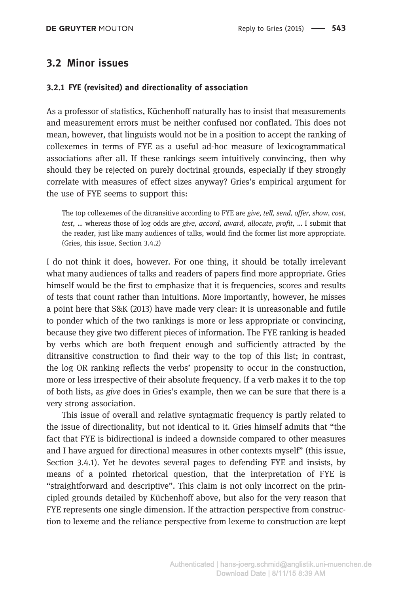### 3.2 Minor issues

### 3.2.1 FYE (revisited) and directionality of association

As a professor of statistics, Küchenhoff naturally has to insist that measurements and measurement errors must be neither confused nor conflated. This does not mean, however, that linguists would not be in a position to accept the ranking of collexemes in terms of FYE as a useful ad-hoc measure of lexicogrammatical associations after all. If these rankings seem intuitively convincing, then why should they be rejected on purely doctrinal grounds, especially if they strongly correlate with measures of effect sizes anyway? Gries's empirical argument for the use of FYE seems to support this:

The top collexemes of the ditransitive according to FYE are give, tell, send, offer, show, cost, test, … whereas those of log odds are give, accord, award, allocate, profit, … I submit that the reader, just like many audiences of talks, would find the former list more appropriate. (Gries, this issue, Section 3.4.2)

I do not think it does, however. For one thing, it should be totally irrelevant what many audiences of talks and readers of papers find more appropriate. Gries himself would be the first to emphasize that it is frequencies, scores and results of tests that count rather than intuitions. More importantly, however, he misses a point here that S&K (2013) have made very clear: it is unreasonable and futile to ponder which of the two rankings is more or less appropriate or convincing, because they give two different pieces of information. The FYE ranking is headed by verbs which are both frequent enough and sufficiently attracted by the ditransitive construction to find their way to the top of this list; in contrast, the log OR ranking reflects the verbs' propensity to occur in the construction, more or less irrespective of their absolute frequency. If a verb makes it to the top of both lists, as give does in Gries's example, then we can be sure that there is a very strong association.

This issue of overall and relative syntagmatic frequency is partly related to the issue of directionality, but not identical to it. Gries himself admits that "the fact that FYE is bidirectional is indeed a downside compared to other measures and I have argued for directional measures in other contexts myself" (this issue, Section 3.4.1). Yet he devotes several pages to defending FYE and insists, by means of a pointed rhetorical question, that the interpretation of FYE is "straightforward and descriptive". This claim is not only incorrect on the principled grounds detailed by Küchenhoff above, but also for the very reason that FYE represents one single dimension. If the attraction perspective from construction to lexeme and the reliance perspective from lexeme to construction are kept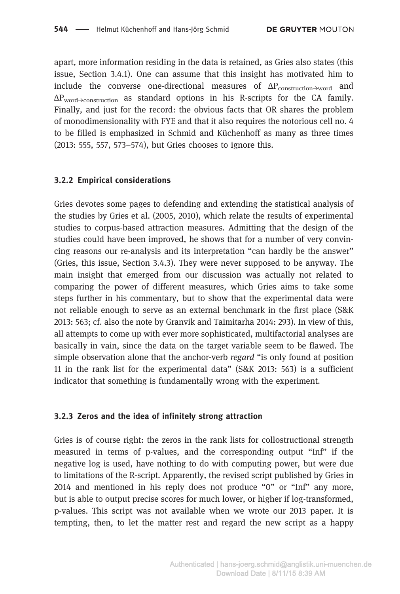apart, more information residing in the data is retained, as Gries also states (this issue, Section 3.4.1). One can assume that this insight has motivated him to include the converse one-directional measures of  $\Delta P_{\text{construction}\rightarrow\text{word}}$  and ΔPword→construction as standard options in his R-scripts for the CA family. Finally, and just for the record: the obvious facts that OR shares the problem of monodimensionality with FYE and that it also requires the notorious cell no. 4 to be filled is emphasized in Schmid and Küchenhoff as many as three times (2013: 555, 557, 573–574), but Gries chooses to ignore this.

#### 3.2.2 Empirical considerations

Gries devotes some pages to defending and extending the statistical analysis of the studies by Gries et al. (2005, 2010), which relate the results of experimental studies to corpus-based attraction measures. Admitting that the design of the studies could have been improved, he shows that for a number of very convincing reasons our re-analysis and its interpretation "can hardly be the answer" (Gries, this issue, Section 3.4.3). They were never supposed to be anyway. The main insight that emerged from our discussion was actually not related to comparing the power of different measures, which Gries aims to take some steps further in his commentary, but to show that the experimental data were not reliable enough to serve as an external benchmark in the first place (S&K 2013: 563; cf. also the note by Granvik and Taimitarha 2014: 293). In view of this, all attempts to come up with ever more sophisticated, multifactorial analyses are basically in vain, since the data on the target variable seem to be flawed. The simple observation alone that the anchor-verb *regard* "is only found at position 11 in the rank list for the experimental data" (S&K 2013: 563) is a sufficient indicator that something is fundamentally wrong with the experiment.

#### 3.2.3 Zeros and the idea of infinitely strong attraction

Gries is of course right: the zeros in the rank lists for collostructional strength measured in terms of p-values, and the corresponding output "Inf" if the negative log is used, have nothing to do with computing power, but were due to limitations of the R-script. Apparently, the revised script published by Gries in 2014 and mentioned in his reply does not produce "0" or "Inf" any more, but is able to output precise scores for much lower, or higher if log-transformed, p-values. This script was not available when we wrote our 2013 paper. It is tempting, then, to let the matter rest and regard the new script as a happy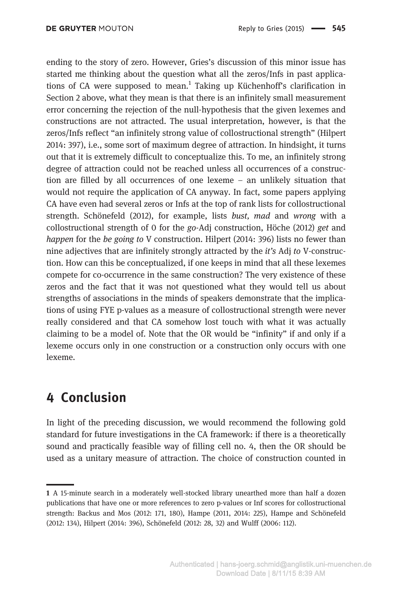ending to the story of zero. However, Gries's discussion of this minor issue has started me thinking about the question what all the zeros/Infs in past applications of CA were supposed to mean.<sup>1</sup> Taking up Küchenhoff's clarification in Section 2 above, what they mean is that there is an infinitely small measurement error concerning the rejection of the null-hypothesis that the given lexemes and constructions are not attracted. The usual interpretation, however, is that the zeros/Infs reflect "an infinitely strong value of collostructional strength" (Hilpert 2014: 397), i.e., some sort of maximum degree of attraction. In hindsight, it turns out that it is extremely difficult to conceptualize this. To me, an infinitely strong degree of attraction could not be reached unless all occurrences of a construction are filled by all occurrences of one lexeme – an unlikely situation that would not require the application of CA anyway. In fact, some papers applying CA have even had several zeros or Infs at the top of rank lists for collostructional strength. Schönefeld (2012), for example, lists bust, mad and wrong with a collostructional strength of 0 for the go-Adj construction, Höche (2012) get and happen for the be going to V construction. Hilpert (2014: 396) lists no fewer than nine adjectives that are infinitely strongly attracted by the it's Adj to V-construction. How can this be conceptualized, if one keeps in mind that all these lexemes compete for co-occurrence in the same construction? The very existence of these zeros and the fact that it was not questioned what they would tell us about strengths of associations in the minds of speakers demonstrate that the implications of using FYE p-values as a measure of collostructional strength were never really considered and that CA somehow lost touch with what it was actually claiming to be a model of. Note that the OR would be "infinity" if and only if a lexeme occurs only in one construction or a construction only occurs with one lexeme.

## 4 Conclusion

In light of the preceding discussion, we would recommend the following gold standard for future investigations in the CA framework: if there is a theoretically sound and practically feasible way of filling cell no. 4, then the OR should be used as a unitary measure of attraction. The choice of construction counted in

<sup>1</sup> A 15-minute search in a moderately well-stocked library unearthed more than half a dozen publications that have one or more references to zero p-values or Inf scores for collostructional strength: Backus and Mos (2012: 171, 180), Hampe (2011, 2014: 225), Hampe and Schönefeld (2012: 134), Hilpert (2014: 396), Schönefeld (2012: 28, 32) and Wulff (2006: 112).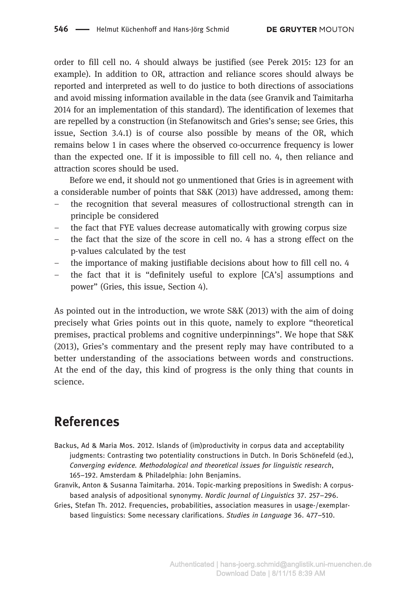order to fill cell no. 4 should always be justified (see Perek 2015: 123 for an example). In addition to OR, attraction and reliance scores should always be reported and interpreted as well to do justice to both directions of associations and avoid missing information available in the data (see Granvik and Taimitarha 2014 for an implementation of this standard). The identification of lexemes that are repelled by a construction (in Stefanowitsch and Gries's sense; see Gries, this issue, Section 3.4.1) is of course also possible by means of the OR, which remains below 1 in cases where the observed co-occurrence frequency is lower than the expected one. If it is impossible to fill cell no. 4, then reliance and attraction scores should be used.

Before we end, it should not go unmentioned that Gries is in agreement with a considerable number of points that S&K (2013) have addressed, among them:

- the recognition that several measures of collostructional strength can in principle be considered
- the fact that FYE values decrease automatically with growing corpus size
- the fact that the size of the score in cell no. 4 has a strong effect on the p-values calculated by the test
- the importance of making justifiable decisions about how to fill cell no. 4
- the fact that it is "definitely useful to explore [CA's] assumptions and power" (Gries, this issue, Section 4).

As pointed out in the introduction, we wrote S&K (2013) with the aim of doing precisely what Gries points out in this quote, namely to explore "theoretical premises, practical problems and cognitive underpinnings". We hope that S&K (2013), Gries's commentary and the present reply may have contributed to a better understanding of the associations between words and constructions. At the end of the day, this kind of progress is the only thing that counts in science.

## References

- Backus, Ad & Maria Mos. 2012. Islands of (im)productivity in corpus data and acceptability judgments: Contrasting two potentiality constructions in Dutch. In Doris Schönefeld (ed.), Converging evidence. Methodological and theoretical issues for linguistic research, 165–192. Amsterdam & Philadelphia: John Benjamins.
- Granvik, Anton & Susanna Taimitarha. 2014. Topic-marking prepositions in Swedish: A corpusbased analysis of adpositional synonymy. Nordic Journal of Linguistics 37. 257–296.
- Gries, Stefan Th. 2012. Frequencies, probabilities, association measures in usage-/exemplarbased linguistics: Some necessary clarifications. Studies in Language 36. 477–510.